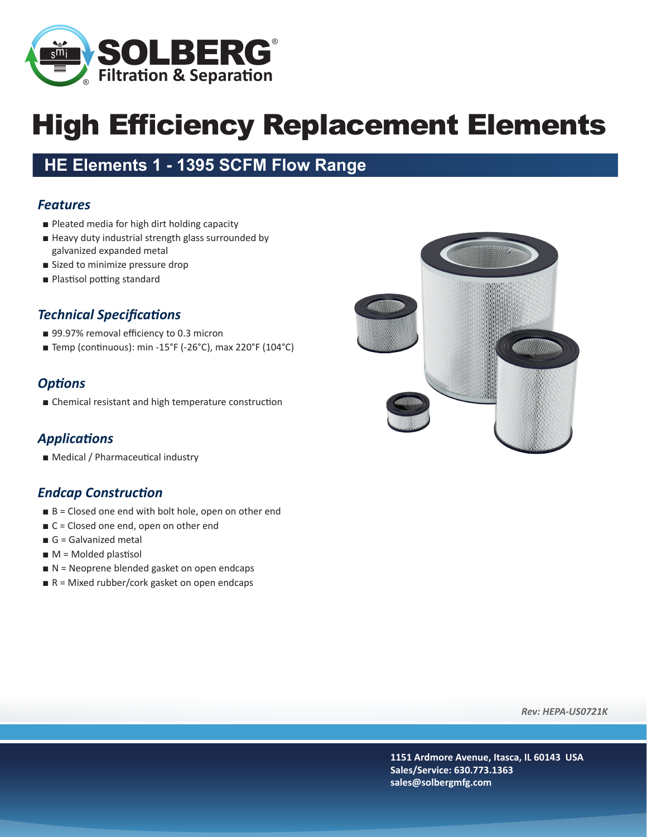

# High Efficiency Replacement Elements

### **HE Elements 1 - 1395 SCFM Flow Range**

#### *Features*

- Pleated media for high dirt holding capacity
- Heavy duty industrial strength glass surrounded by galvanized expanded metal
- Sized to minimize pressure drop
- Plastisol potting standard

#### *Technical Specifications*

- 99.97% removal efficiency to 0.3 micron
- Temp (continuous): min -15°F (-26°C), max 220°F (104°C)

#### *Options*

■ Chemical resistant and high temperature construction

#### *Applications*

■ Medical / Pharmaceutical industry

#### *Endcap Construction*

- B = Closed one end with bolt hole, open on other end
- C = Closed one end, open on other end
- G = Galvanized metal
- $\blacksquare$  M = Molded plastisol
- N = Neoprene blended gasket on open endcaps
- $R =$  Mixed rubber/cork gasket on open endcaps



*Rev: HEPA-US0721K*

**1151 Ardmore Avenue, Itasca, IL 60143 USA Sales/Service: 630.773.1363 sales@solbergmfg.com**